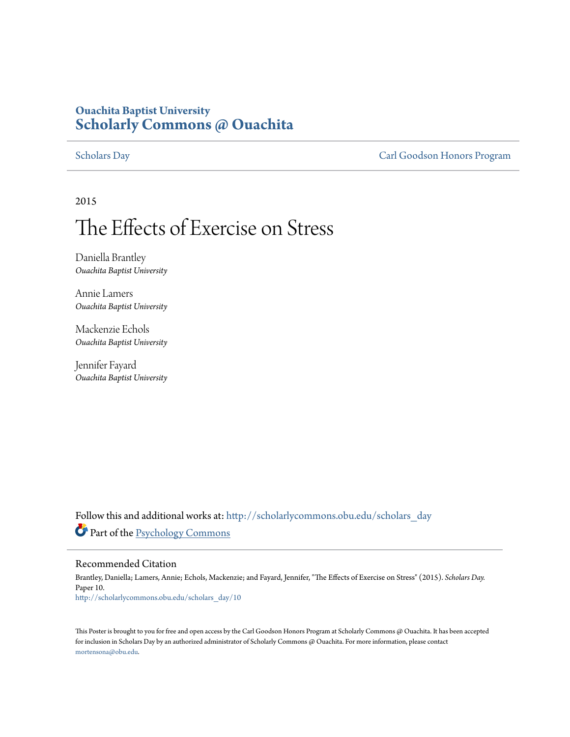### **Ouachita Baptist University [Scholarly Commons @ Ouachita](http://scholarlycommons.obu.edu?utm_source=scholarlycommons.obu.edu%2Fscholars_day%2F10&utm_medium=PDF&utm_campaign=PDFCoverPages)**

[Scholars Day](http://scholarlycommons.obu.edu/scholars_day?utm_source=scholarlycommons.obu.edu%2Fscholars_day%2F10&utm_medium=PDF&utm_campaign=PDFCoverPages) [Carl Goodson Honors Program](http://scholarlycommons.obu.edu/honors?utm_source=scholarlycommons.obu.edu%2Fscholars_day%2F10&utm_medium=PDF&utm_campaign=PDFCoverPages)

2015

### The Effects of Exercise on Stress

Daniella Brantley *Ouachita Baptist University*

Annie Lamers *Ouachita Baptist University*

Mackenzie Echols *Ouachita Baptist University*

Jennifer Fayard *Ouachita Baptist University*

Follow this and additional works at: [http://scholarlycommons.obu.edu/scholars\\_day](http://scholarlycommons.obu.edu/scholars_day?utm_source=scholarlycommons.obu.edu%2Fscholars_day%2F10&utm_medium=PDF&utm_campaign=PDFCoverPages) Part of the [Psychology Commons](http://network.bepress.com/hgg/discipline/404?utm_source=scholarlycommons.obu.edu%2Fscholars_day%2F10&utm_medium=PDF&utm_campaign=PDFCoverPages)

### Recommended Citation

Brantley, Daniella; Lamers, Annie; Echols, Mackenzie; and Fayard, Jennifer, "The Effects of Exercise on Stress" (2015). *Scholars Day.* Paper 10. [http://scholarlycommons.obu.edu/scholars\\_day/10](http://scholarlycommons.obu.edu/scholars_day/10?utm_source=scholarlycommons.obu.edu%2Fscholars_day%2F10&utm_medium=PDF&utm_campaign=PDFCoverPages)

This Poster is brought to you for free and open access by the Carl Goodson Honors Program at Scholarly Commons @ Ouachita. It has been accepted for inclusion in Scholars Day by an authorized administrator of Scholarly Commons @ Ouachita. For more information, please contact [mortensona@obu.edu](mailto:mortensona@obu.edu).